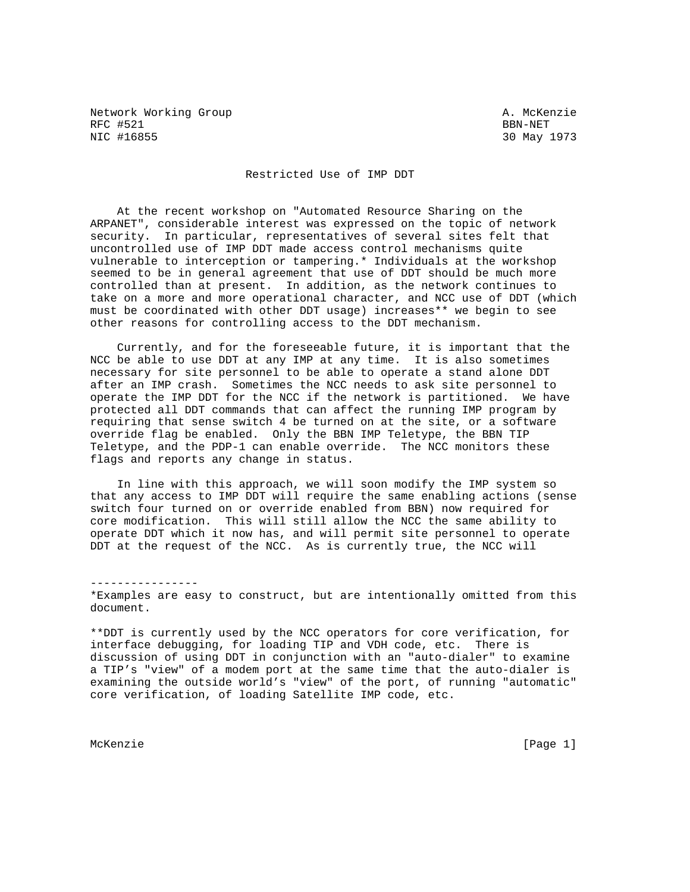Network Working Group and A. McKenzie RFC #521 BBN-NET<br>NIC #16855 30 May

30 May 1973

## Restricted Use of IMP DDT

 At the recent workshop on "Automated Resource Sharing on the ARPANET", considerable interest was expressed on the topic of network security. In particular, representatives of several sites felt that uncontrolled use of IMP DDT made access control mechanisms quite vulnerable to interception or tampering.\* Individuals at the workshop seemed to be in general agreement that use of DDT should be much more controlled than at present. In addition, as the network continues to take on a more and more operational character, and NCC use of DDT (which must be coordinated with other DDT usage) increases\*\* we begin to see other reasons for controlling access to the DDT mechanism.

 Currently, and for the foreseeable future, it is important that the NCC be able to use DDT at any IMP at any time. It is also sometimes necessary for site personnel to be able to operate a stand alone DDT after an IMP crash. Sometimes the NCC needs to ask site personnel to operate the IMP DDT for the NCC if the network is partitioned. We have protected all DDT commands that can affect the running IMP program by requiring that sense switch 4 be turned on at the site, or a software override flag be enabled. Only the BBN IMP Teletype, the BBN TIP Teletype, and the PDP-1 can enable override. The NCC monitors these flags and reports any change in status.

 In line with this approach, we will soon modify the IMP system so that any access to IMP DDT will require the same enabling actions (sense switch four turned on or override enabled from BBN) now required for core modification. This will still allow the NCC the same ability to operate DDT which it now has, and will permit site personnel to operate DDT at the request of the NCC. As is currently true, the NCC will

---------------- \*Examples are easy to construct, but are intentionally omitted from this document.

\*\*DDT is currently used by the NCC operators for core verification, for interface debugging, for loading TIP and VDH code, etc. There is discussion of using DDT in conjunction with an "auto-dialer" to examine a TIP's "view" of a modem port at the same time that the auto-dialer is examining the outside world's "view" of the port, of running "automatic" core verification, of loading Satellite IMP code, etc.

McKenzie [Page 1]